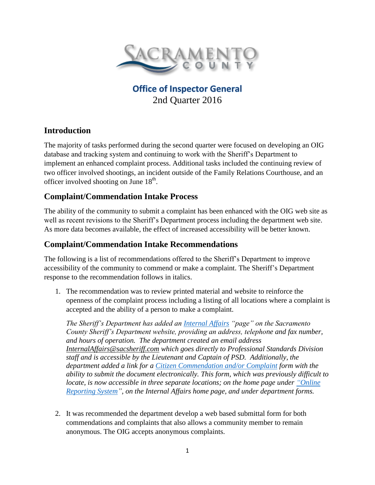

# **Office of Inspector General** 2nd Quarter 2016

## **Introduction**

The majority of tasks performed during the second quarter were focused on developing an OIG database and tracking system and continuing to work with the Sheriff's Department to implement an enhanced complaint process. Additional tasks included the continuing review of two officer involved shootings, an incident outside of the Family Relations Courthouse, and an officer involved shooting on June  $18<sup>th</sup>$ .

## **Complaint/Commendation Intake Process**

The ability of the community to submit a complaint has been enhanced with the OIG web site as well as recent revisions to the Sheriff's Department process including the department web site. As more data becomes available, the effect of increased accessibility will be better known.

### **Complaint/Commendation Intake Recommendations**

The following is a list of recommendations offered to the Sheriff's Department to improve accessibility of the community to commend or make a complaint. The Sheriff's Department response to the recommendation follows in italics.

1. The recommendation was to review printed material and website to reinforce the openness of the complaint process including a listing of all locations where a complaint is accepted and the ability of a person to make a complaint.

*The Sheriff's Department has added an [Internal Affairs](http://www.sacsheriff.com/Pages/Organization/ProfessionalStandards/InternalAffairs.aspx) "page" on the Sacramento County Sheriff's Department website, providing an address, telephone and fax number, and hours of operation. The department created an email address [InternalAffairs@sacsheriff.com](mailto:InternalAffairs@sacsheriff.com) which goes directly to Professional Standards Division staff and is accessible by the Lieutenant and Captain of PSD. Additionally, the department added a link for a [Citizen Commendation and/or Complaint](http://www.sacsheriff.com/Pages/Organization/ProfessionalStandards/CCform.aspx) form with the ability to submit the document electronically. This form, which was previously difficult to locate, is now accessible in three separate locations; on the home page under ["Online](http://www.sacsheriff.com/) [Reporting System"](http://www.sacsheriff.com/), on the Internal Affairs home page, and under department forms.*

2. It was recommended the department develop a web based submittal form for both commendations and complaints that also allows a community member to remain anonymous. The OIG accepts anonymous complaints.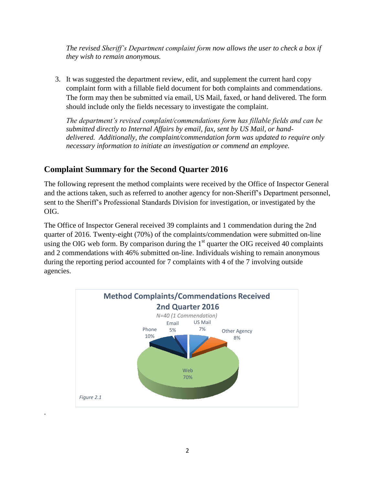*The revised Sheriff's Department complaint form now allows the user to check a box if they wish to remain anonymous.*

3. It was suggested the department review, edit, and supplement the current hard copy complaint form with a fillable field document for both complaints and commendations. The form may then be submitted via email, US Mail, faxed, or hand delivered. The form should include only the fields necessary to investigate the complaint.

*The department's revised complaint/commendations form has fillable fields and can be submitted directly to Internal Affairs by email, fax, sent by US Mail, or handdelivered. Additionally, the complaint/commendation form was updated to require only necessary information to initiate an investigation or commend an employee.*

# **Complaint Summary for the Second Quarter 2016**

.

The following represent the method complaints were received by the Office of Inspector General and the actions taken, such as referred to another agency for non-Sheriff's Department personnel, sent to the Sheriff's Professional Standards Division for investigation, or investigated by the OIG.

The Office of Inspector General received 39 complaints and 1 commendation during the 2nd quarter of 2016. Twenty-eight (70%) of the complaints/commendation were submitted on-line using the OIG web form. By comparison during the  $1<sup>st</sup>$  quarter the OIG received 40 complaints and 2 commendations with 46% submitted on-line. Individuals wishing to remain anonymous during the reporting period accounted for 7 complaints with 4 of the 7 involving outside agencies.

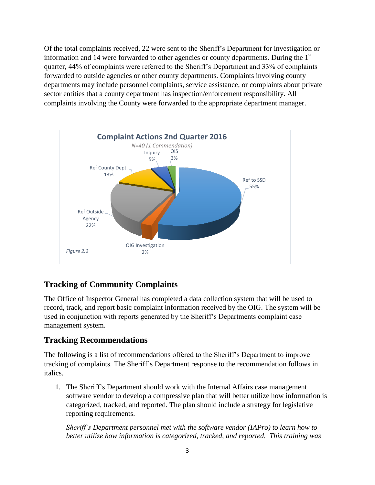Of the total complaints received, 22 were sent to the Sheriff's Department for investigation or information and 14 were forwarded to other agencies or county departments. During the  $1<sup>st</sup>$ quarter, 44% of complaints were referred to the Sheriff's Department and 33% of complaints forwarded to outside agencies or other county departments. Complaints involving county departments may include personnel complaints, service assistance, or complaints about private sector entities that a county department has inspection/enforcement responsibility. All complaints involving the County were forwarded to the appropriate department manager.



## **Tracking of Community Complaints**

The Office of Inspector General has completed a data collection system that will be used to record, track, and report basic complaint information received by the OIG. The system will be used in conjunction with reports generated by the Sheriff's Departments complaint case management system.

## **Tracking Recommendations**

The following is a list of recommendations offered to the Sheriff's Department to improve tracking of complaints. The Sheriff's Department response to the recommendation follows in italics.

1. The Sheriff's Department should work with the Internal Affairs case management software vendor to develop a compressive plan that will better utilize how information is categorized, tracked, and reported. The plan should include a strategy for legislative reporting requirements.

*Sheriff's Department personnel met with the software vendor (IAPro) to learn how to better utilize how information is categorized, tracked, and reported. This training was*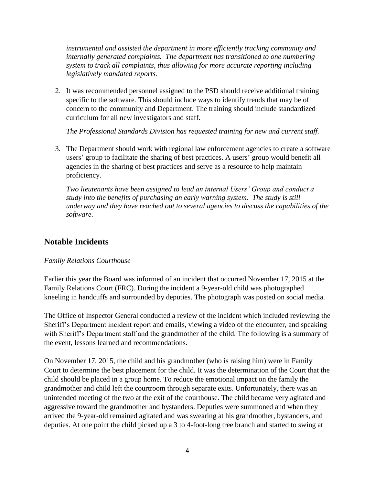*instrumental and assisted the department in more efficiently tracking community and internally generated complaints. The department has transitioned to one numbering system to track all complaints, thus allowing for more accurate reporting including legislatively mandated reports.* 

2. It was recommended personnel assigned to the PSD should receive additional training specific to the software. This should include ways to identify trends that may be of concern to the community and Department. The training should include standardized curriculum for all new investigators and staff.

*The Professional Standards Division has requested training for new and current staff.*

3. The Department should work with regional law enforcement agencies to create a software users' group to facilitate the sharing of best practices. A users' group would benefit all agencies in the sharing of best practices and serve as a resource to help maintain proficiency.

*Two lieutenants have been assigned to lead an internal Users' Group and conduct a study into the benefits of purchasing an early warning system. The study is still underway and they have reached out to several agencies to discuss the capabilities of the software.* 

### **Notable Incidents**

#### *Family Relations Courthouse*

Earlier this year the Board was informed of an incident that occurred November 17, 2015 at the Family Relations Court (FRC). During the incident a 9-year-old child was photographed kneeling in handcuffs and surrounded by deputies. The photograph was posted on social media.

The Office of Inspector General conducted a review of the incident which included reviewing the Sheriff's Department incident report and emails, viewing a video of the encounter, and speaking with Sheriff's Department staff and the grandmother of the child. The following is a summary of the event, lessons learned and recommendations.

On November 17, 2015, the child and his grandmother (who is raising him) were in Family Court to determine the best placement for the child. It was the determination of the Court that the child should be placed in a group home. To reduce the emotional impact on the family the grandmother and child left the courtroom through separate exits. Unfortunately, there was an unintended meeting of the two at the exit of the courthouse. The child became very agitated and aggressive toward the grandmother and bystanders. Deputies were summoned and when they arrived the 9-year-old remained agitated and was swearing at his grandmother, bystanders, and deputies. At one point the child picked up a 3 to 4-foot-long tree branch and started to swing at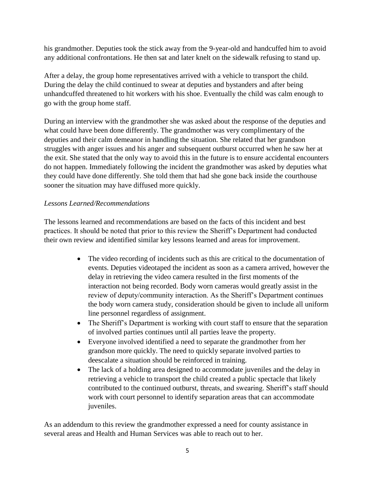his grandmother. Deputies took the stick away from the 9-year-old and handcuffed him to avoid any additional confrontations. He then sat and later knelt on the sidewalk refusing to stand up.

After a delay, the group home representatives arrived with a vehicle to transport the child. During the delay the child continued to swear at deputies and bystanders and after being unhandcuffed threatened to hit workers with his shoe. Eventually the child was calm enough to go with the group home staff.

During an interview with the grandmother she was asked about the response of the deputies and what could have been done differently. The grandmother was very complimentary of the deputies and their calm demeanor in handling the situation. She related that her grandson struggles with anger issues and his anger and subsequent outburst occurred when he saw her at the exit. She stated that the only way to avoid this in the future is to ensure accidental encounters do not happen. Immediately following the incident the grandmother was asked by deputies what they could have done differently. She told them that had she gone back inside the courthouse sooner the situation may have diffused more quickly.

#### *Lessons Learned/Recommendations*

The lessons learned and recommendations are based on the facts of this incident and best practices. It should be noted that prior to this review the Sheriff's Department had conducted their own review and identified similar key lessons learned and areas for improvement.

- The video recording of incidents such as this are critical to the documentation of events. Deputies videotaped the incident as soon as a camera arrived, however the delay in retrieving the video camera resulted in the first moments of the interaction not being recorded. Body worn cameras would greatly assist in the review of deputy/community interaction. As the Sheriff's Department continues the body worn camera study, consideration should be given to include all uniform line personnel regardless of assignment.
- The Sheriff's Department is working with court staff to ensure that the separation of involved parties continues until all parties leave the property.
- Everyone involved identified a need to separate the grandmother from her grandson more quickly. The need to quickly separate involved parties to deescalate a situation should be reinforced in training.
- The lack of a holding area designed to accommodate juveniles and the delay in retrieving a vehicle to transport the child created a public spectacle that likely contributed to the continued outburst, threats, and swearing. Sheriff's staff should work with court personnel to identify separation areas that can accommodate juveniles.

As an addendum to this review the grandmother expressed a need for county assistance in several areas and Health and Human Services was able to reach out to her.